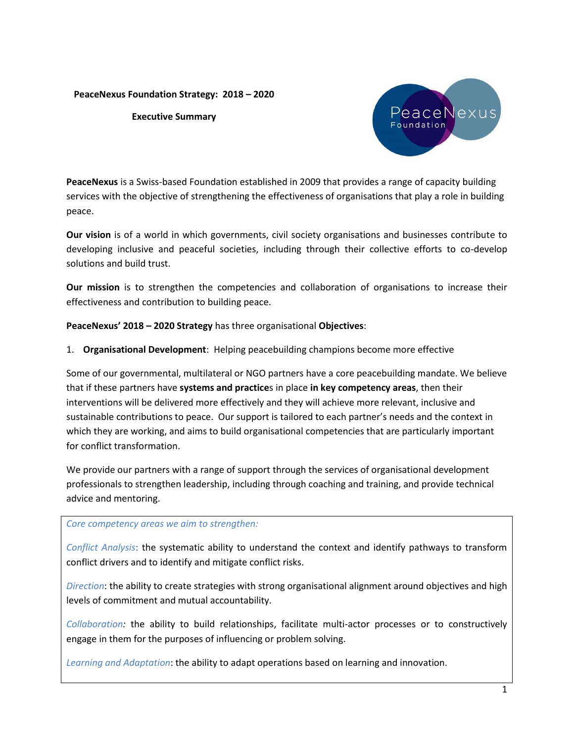## **PeaceNexus Foundation Strategy: 2018 – 2020**

### **Executive Summary**



**PeaceNexus** is a Swiss-based Foundation established in 2009 that provides a range of capacity building services with the objective of strengthening the effectiveness of organisations that play a role in building peace.

**Our vision** is of a world in which governments, civil society organisations and businesses contribute to developing inclusive and peaceful societies, including through their collective efforts to co-develop solutions and build trust.

**Our mission** is to strengthen the competencies and collaboration of organisations to increase their effectiveness and contribution to building peace.

# **PeaceNexus' 2018 – 2020 Strategy** has three organisational **Objectives**:

1. **Organisational Development**: Helping peacebuilding champions become more effective

Some of our governmental, multilateral or NGO partners have a core peacebuilding mandate. We believe that if these partners have **systems and practice**s in place **in key competency areas**, then their interventions will be delivered more effectively and they will achieve more relevant, inclusive and sustainable contributions to peace. Our support is tailored to each partner's needs and the context in which they are working, and aims to build organisational competencies that are particularly important for conflict transformation.

We provide our partners with a range of support through the services of organisational development professionals to strengthen leadership, including through coaching and training, and provide technical advice and mentoring.

### *Core competency areas we aim to strengthen:*

*Conflict Analysis*: the systematic ability to understand the context and identify pathways to transform conflict drivers and to identify and mitigate conflict risks.

*Direction*: the ability to create strategies with strong organisational alignment around objectives and high levels of commitment and mutual accountability.

*Collaboration:* the ability to build relationships, facilitate multi-actor processes or to constructively engage in them for the purposes of influencing or problem solving.

*Learning and Adaptation*: the ability to adapt operations based on learning and innovation.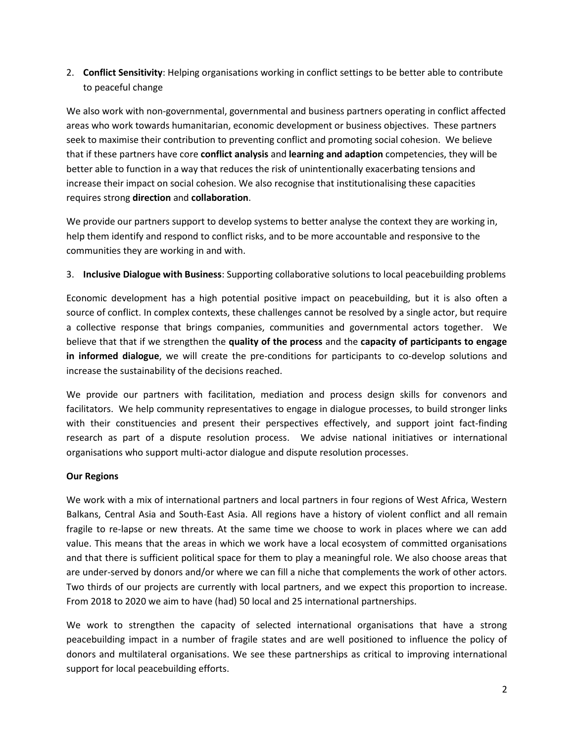2. **Conflict Sensitivity**: Helping organisations working in conflict settings to be better able to contribute to peaceful change

We also work with non-governmental, governmental and business partners operating in conflict affected areas who work towards humanitarian, economic development or business objectives. These partners seek to maximise their contribution to preventing conflict and promoting social cohesion. We believe that if these partners have core **conflict analysis** and **learning and adaption** competencies, they will be better able to function in a way that reduces the risk of unintentionally exacerbating tensions and increase their impact on social cohesion. We also recognise that institutionalising these capacities requires strong **direction** and **collaboration**.

We provide our partners support to develop systems to better analyse the context they are working in, help them identify and respond to conflict risks, and to be more accountable and responsive to the communities they are working in and with.

# 3. **Inclusive Dialogue with Business**: Supporting collaborative solutions to local peacebuilding problems

Economic development has a high potential positive impact on peacebuilding, but it is also often a source of conflict. In complex contexts, these challenges cannot be resolved by a single actor, but require a collective response that brings companies, communities and governmental actors together. We believe that that if we strengthen the **quality of the process** and the **capacity of participants to engage in informed dialogue**, we will create the pre-conditions for participants to co-develop solutions and increase the sustainability of the decisions reached.

We provide our partners with facilitation, mediation and process design skills for convenors and facilitators. We help community representatives to engage in dialogue processes, to build stronger links with their constituencies and present their perspectives effectively, and support joint fact-finding research as part of a dispute resolution process. We advise national initiatives or international organisations who support multi-actor dialogue and dispute resolution processes.

### **Our Regions**

We work with a mix of international partners and local partners in four regions of West Africa, Western Balkans, Central Asia and South-East Asia. All regions have a history of violent conflict and all remain fragile to re-lapse or new threats. At the same time we choose to work in places where we can add value. This means that the areas in which we work have a local ecosystem of committed organisations and that there is sufficient political space for them to play a meaningful role. We also choose areas that are under-served by donors and/or where we can fill a niche that complements the work of other actors. Two thirds of our projects are currently with local partners, and we expect this proportion to increase. From 2018 to 2020 we aim to have (had) 50 local and 25 international partnerships.

We work to strengthen the capacity of selected international organisations that have a strong peacebuilding impact in a number of fragile states and are well positioned to influence the policy of donors and multilateral organisations. We see these partnerships as critical to improving international support for local peacebuilding efforts.